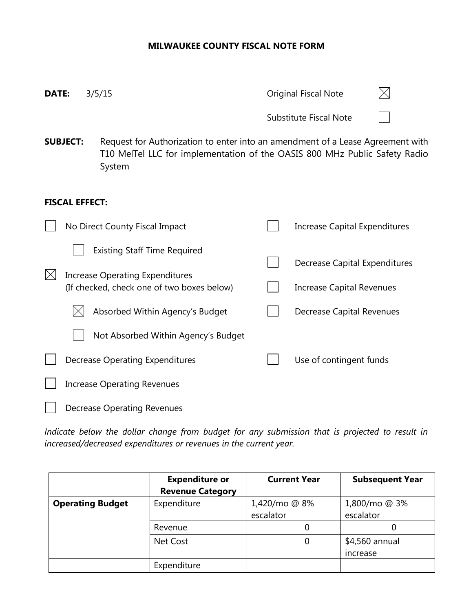## **MILWAUKEE COUNTY FISCAL NOTE FORM**

| DATE:                  |                       |  | 3/5/15                                                                                                                                                                 |  | <b>Original Fiscal Note</b>      |  |  |  |
|------------------------|-----------------------|--|------------------------------------------------------------------------------------------------------------------------------------------------------------------------|--|----------------------------------|--|--|--|
|                        |                       |  |                                                                                                                                                                        |  | Substitute Fiscal Note           |  |  |  |
| <b>SUBJECT:</b>        |                       |  | Request for Authorization to enter into an amendment of a Lease Agreement with<br>T10 MelTel LLC for implementation of the OASIS 800 MHz Public Safety Radio<br>System |  |                                  |  |  |  |
|                        | <b>FISCAL EFFECT:</b> |  |                                                                                                                                                                        |  |                                  |  |  |  |
|                        |                       |  | No Direct County Fiscal Impact                                                                                                                                         |  | Increase Capital Expenditures    |  |  |  |
|                        |                       |  | <b>Existing Staff Time Required</b>                                                                                                                                    |  | Decrease Capital Expenditures    |  |  |  |
| $\mathsf{I}\mathsf{X}$ |                       |  | <b>Increase Operating Expenditures</b><br>(If checked, check one of two boxes below)                                                                                   |  | <b>Increase Capital Revenues</b> |  |  |  |
|                        |                       |  | Absorbed Within Agency's Budget                                                                                                                                        |  | Decrease Capital Revenues        |  |  |  |
|                        |                       |  | Not Absorbed Within Agency's Budget                                                                                                                                    |  |                                  |  |  |  |
|                        |                       |  | <b>Decrease Operating Expenditures</b>                                                                                                                                 |  | Use of contingent funds          |  |  |  |
|                        |                       |  | <b>Increase Operating Revenues</b>                                                                                                                                     |  |                                  |  |  |  |
|                        |                       |  | <b>Decrease Operating Revenues</b>                                                                                                                                     |  |                                  |  |  |  |

*Indicate below the dollar change from budget for any submission that is projected to result in increased/decreased expenditures or revenues in the current year.*

|                         | <b>Expenditure or</b><br><b>Revenue Category</b> | <b>Current Year</b>        | <b>Subsequent Year</b>     |
|-------------------------|--------------------------------------------------|----------------------------|----------------------------|
| <b>Operating Budget</b> | Expenditure                                      | 1,420/mo @ 8%<br>escalator | 1,800/mo @ 3%<br>escalator |
|                         | Revenue                                          |                            |                            |
|                         | Net Cost                                         | 0                          | \$4,560 annual<br>increase |
|                         | Expenditure                                      |                            |                            |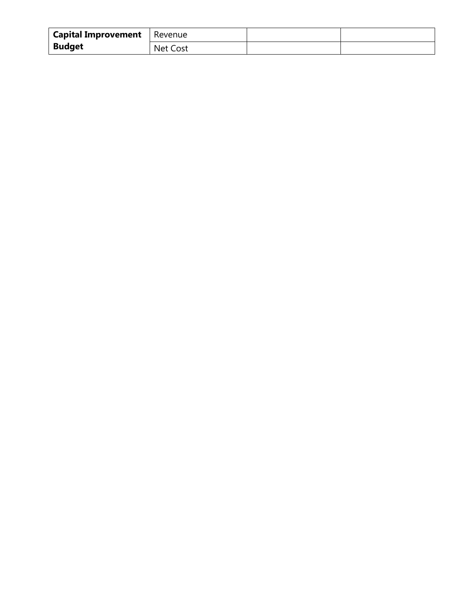| <b>Capital Improvement</b>   Revenue |          |  |
|--------------------------------------|----------|--|
| <b>Budget</b>                        | Net Cost |  |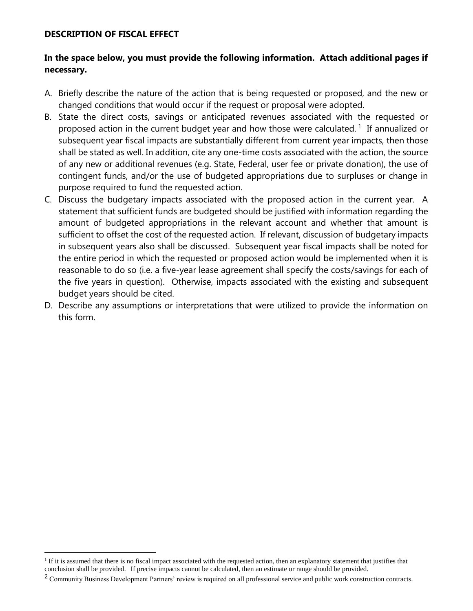## **DESCRIPTION OF FISCAL EFFECT**

 $\overline{a}$ 

## **In the space below, you must provide the following information. Attach additional pages if necessary.**

- A. Briefly describe the nature of the action that is being requested or proposed, and the new or changed conditions that would occur if the request or proposal were adopted.
- B. State the direct costs, savings or anticipated revenues associated with the requested or proposed action in the current budget year and how those were calculated.<sup>1</sup> If annualized or subsequent year fiscal impacts are substantially different from current year impacts, then those shall be stated as well. In addition, cite any one-time costs associated with the action, the source of any new or additional revenues (e.g. State, Federal, user fee or private donation), the use of contingent funds, and/or the use of budgeted appropriations due to surpluses or change in purpose required to fund the requested action.
- C. Discuss the budgetary impacts associated with the proposed action in the current year. A statement that sufficient funds are budgeted should be justified with information regarding the amount of budgeted appropriations in the relevant account and whether that amount is sufficient to offset the cost of the requested action.If relevant, discussion of budgetary impacts in subsequent years also shall be discussed. Subsequent year fiscal impacts shall be noted for the entire period in which the requested or proposed action would be implemented when it is reasonable to do so (i.e. a five-year lease agreement shall specify the costs/savings for each of the five years in question). Otherwise, impacts associated with the existing and subsequent budget years should be cited.
- D. Describe any assumptions or interpretations that were utilized to provide the information on this form.

<sup>&</sup>lt;sup>1</sup> If it is assumed that there is no fiscal impact associated with the requested action, then an explanatory statement that justifies that conclusion shall be provided.If precise impacts cannot be calculated, then an estimate or range should be provided.

<sup>&</sup>lt;sup>2</sup> Community Business Development Partners' review is required on all professional service and public work construction contracts.